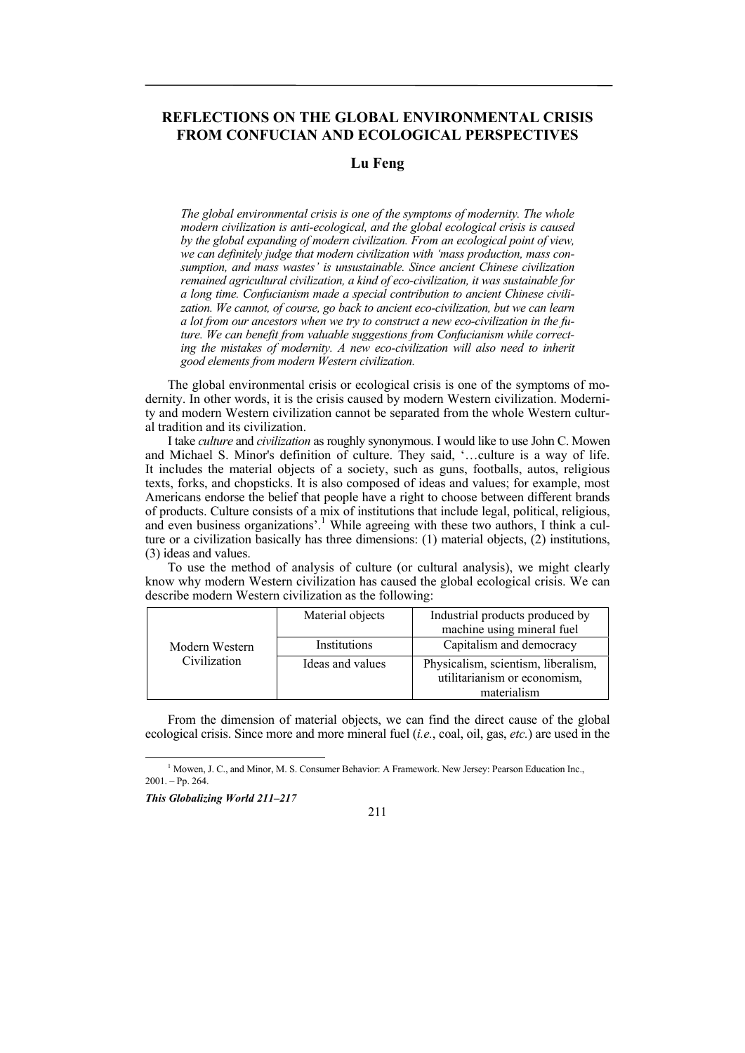# **REFLECTIONS ON THE GLOBAL ENVIRONMENTAL CRISIS FROM CONFUCIAN AND ECOLOGICAL PERSPECTIVES**

# **Lu Feng**

*The global environmental crisis is one of the symptoms of modernity. The whole modern civilization is anti-ecological, and the global ecological crisis is caused by the global expanding of modern civilization. From an ecological point of view, we can definitely judge that modern civilization with 'mass production, mass consumption, and mass wastes' is unsustainable. Since ancient Chinese civilization remained agricultural civilization, a kind of eco-civilization, it was sustainable for a long time. Confucianism made a special contribution to ancient Chinese civilization. We cannot, of course, go back to ancient eco-civilization, but we can learn a lot from our ancestors when we try to construct a new eco-civilization in the future. We can benefit from valuable suggestions from Confucianism while correcting the mistakes of modernity. A new eco-civilization will also need to inherit good elements from modern Western civilization.* 

The global environmental crisis or ecological crisis is one of the symptoms of modernity. In other words, it is the crisis caused by modern Western civilization. Modernity and modern Western civilization cannot be separated from the whole Western cultural tradition and its civilization.

I take *culture* and *civilization* as roughly synonymous. I would like to use John C. Mowen and Michael S. Minor's definition of culture. They said, '…culture is a way of life. It includes the material objects of a society, such as guns, footballs, autos, religious texts, forks, and chopsticks. It is also composed of ideas and values; for example, most Americans endorse the belief that people have a right to choose between different brands of products. Culture consists of a mix of institutions that include legal, political, religious, and even business organizations'.<sup>1</sup> While agreeing with these two authors, I think a culture or a civilization basically has three dimensions: (1) material objects, (2) institutions, (3) ideas and values.

To use the method of analysis of culture (or cultural analysis), we might clearly know why modern Western civilization has caused the global ecological crisis. We can describe modern Western civilization as the following:

| Modern Western<br>Civilization | Material objects | Industrial products produced by<br>machine using mineral fuel       |
|--------------------------------|------------------|---------------------------------------------------------------------|
|                                | Institutions     | Capitalism and democracy                                            |
|                                | Ideas and values | Physicalism, scientism, liberalism,<br>utilitarianism or economism, |
|                                |                  | materialism                                                         |

From the dimension of material objects, we can find the direct cause of the global ecological crisis. Since more and more mineral fuel (*i.e.*, coal, oil, gas, *etc.*) are used in the

 1 <sup>1</sup> Mowen, J. C., and Minor, M. S. Consumer Behavior: A Framework. New Jersey: Pearson Education Inc.,  $2001 - Pp. 264$ .

*This Globalizing World 211–217* 

211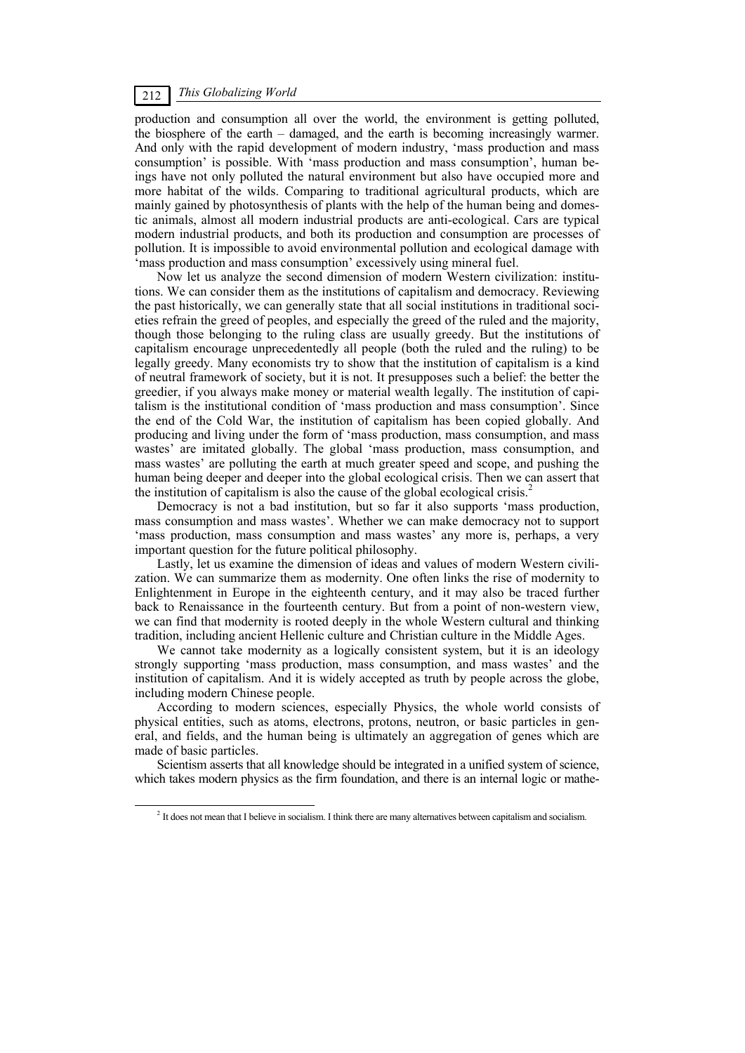### *This Globalizing World* 212

production and consumption all over the world, the environment is getting polluted, the biosphere of the earth – damaged, and the earth is becoming increasingly warmer. And only with the rapid development of modern industry, 'mass production and mass consumption' is possible. With 'mass production and mass consumption', human beings have not only polluted the natural environment but also have occupied more and more habitat of the wilds. Comparing to traditional agricultural products, which are mainly gained by photosynthesis of plants with the help of the human being and domestic animals, almost all modern industrial products are anti-ecological. Cars are typical modern industrial products, and both its production and consumption are processes of pollution. It is impossible to avoid environmental pollution and ecological damage with 'mass production and mass consumption' excessively using mineral fuel.

Now let us analyze the second dimension of modern Western civilization: institutions. We can consider them as the institutions of capitalism and democracy. Reviewing the past historically, we can generally state that all social institutions in traditional societies refrain the greed of peoples, and especially the greed of the ruled and the majority, though those belonging to the ruling class are usually greedy. But the institutions of capitalism encourage unprecedentedly all people (both the ruled and the ruling) to be legally greedy. Many economists try to show that the institution of capitalism is a kind of neutral framework of society, but it is not. It presupposes such a belief: the better the greedier, if you always make money or material wealth legally. The institution of capitalism is the institutional condition of 'mass production and mass consumption'. Since the end of the Cold War, the institution of capitalism has been copied globally. And producing and living under the form of 'mass production, mass consumption, and mass wastes' are imitated globally. The global 'mass production, mass consumption, and mass wastes' are polluting the earth at much greater speed and scope, and pushing the human being deeper and deeper into the global ecological crisis. Then we can assert that the institution of capitalism is also the cause of the global ecological crisis.<sup>2</sup>

Democracy is not a bad institution, but so far it also supports 'mass production, mass consumption and mass wastes'. Whether we can make democracy not to support 'mass production, mass consumption and mass wastes' any more is, perhaps, a very important question for the future political philosophy.

Lastly, let us examine the dimension of ideas and values of modern Western civilization. We can summarize them as modernity. One often links the rise of modernity to Enlightenment in Europe in the eighteenth century, and it may also be traced further back to Renaissance in the fourteenth century. But from a point of non-western view, we can find that modernity is rooted deeply in the whole Western cultural and thinking tradition, including ancient Hellenic culture and Christian culture in the Middle Ages.

We cannot take modernity as a logically consistent system, but it is an ideology strongly supporting 'mass production, mass consumption, and mass wastes' and the institution of capitalism. And it is widely accepted as truth by people across the globe, including modern Chinese people.

According to modern sciences, especially Physics, the whole world consists of physical entities, such as atoms, electrons, protons, neutron, or basic particles in general, and fields, and the human being is ultimately an aggregation of genes which are made of basic particles.

Scientism asserts that all knowledge should be integrated in a unified system of science, which takes modern physics as the firm foundation, and there is an internal logic or mathe-

 $\frac{1}{2}$ <sup>2</sup> It does not mean that I believe in socialism. I think there are many alternatives between capitalism and socialism.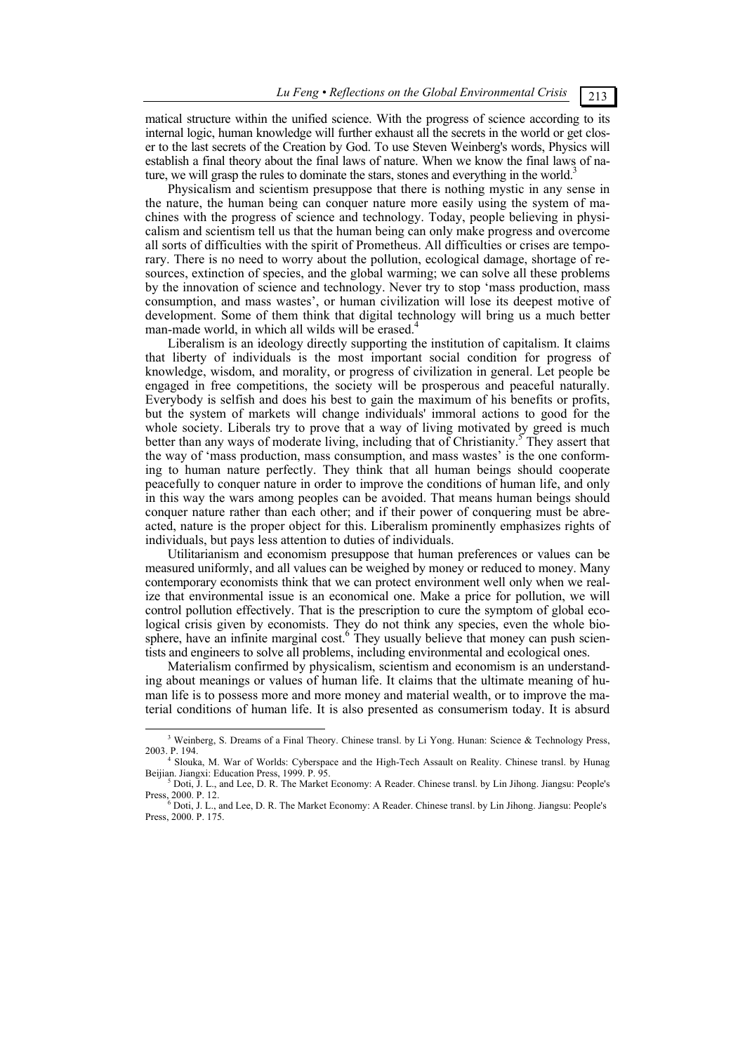matical structure within the unified science. With the progress of science according to its internal logic, human knowledge will further exhaust all the secrets in the world or get closer to the last secrets of the Creation by God. To use Steven Weinberg's words, Physics will establish a final theory about the final laws of nature. When we know the final laws of nature, we will grasp the rules to dominate the stars, stones and everything in the world.<sup>3</sup>

Physicalism and scientism presuppose that there is nothing mystic in any sense in the nature, the human being can conquer nature more easily using the system of machines with the progress of science and technology. Today, people believing in physicalism and scientism tell us that the human being can only make progress and overcome all sorts of difficulties with the spirit of Prometheus. All difficulties or crises are temporary. There is no need to worry about the pollution, ecological damage, shortage of resources, extinction of species, and the global warming; we can solve all these problems by the innovation of science and technology. Never try to stop 'mass production, mass consumption, and mass wastes', or human civilization will lose its deepest motive of development. Some of them think that digital technology will bring us a much better man-made world, in which all wilds will be erased.<sup>4</sup>

Liberalism is an ideology directly supporting the institution of capitalism. It claims that liberty of individuals is the most important social condition for progress of knowledge, wisdom, and morality, or progress of civilization in general. Let people be engaged in free competitions, the society will be prosperous and peaceful naturally. Everybody is selfish and does his best to gain the maximum of his benefits or profits, but the system of markets will change individuals' immoral actions to good for the whole society. Liberals try to prove that a way of living motivated by greed is much better than any ways of moderate living, including that of Christianity.<sup>5</sup> They assert that the way of 'mass production, mass consumption, and mass wastes' is the one conforming to human nature perfectly. They think that all human beings should cooperate peacefully to conquer nature in order to improve the conditions of human life, and only in this way the wars among peoples can be avoided. That means human beings should conquer nature rather than each other; and if their power of conquering must be abreacted, nature is the proper object for this. Liberalism prominently emphasizes rights of individuals, but pays less attention to duties of individuals.

Utilitarianism and economism presuppose that human preferences or values can be measured uniformly, and all values can be weighed by money or reduced to money. Many contemporary economists think that we can protect environment well only when we realize that environmental issue is an economical one. Make a price for pollution, we will control pollution effectively. That is the prescription to cure the symptom of global ecological crisis given by economists. They do not think any species, even the whole biosphere, have an infinite marginal  $cost<sup>6</sup>$  They usually believe that money can push scientists and engineers to solve all problems, including environmental and ecological ones.

Materialism confirmed by physicalism, scientism and economism is an understanding about meanings or values of human life. It claims that the ultimate meaning of human life is to possess more and more money and material wealth, or to improve the material conditions of human life. It is also presented as consumerism today. It is absurd

 $\frac{3}{3}$ <sup>3</sup> Weinberg, S. Dreams of a Final Theory. Chinese transl. by Li Yong. Hunan: Science & Technology Press, 2003. P. 194. 4

<sup>&</sup>lt;sup>4</sup> Slouka, M. War of Worlds: Cyberspace and the High-Tech Assault on Reality. Chinese transl. by Hunag Beijian. Jiangxi: Education Press, 1999. P. 95.

 $<sup>5</sup>$  Doti, J. L., and Lee, D. R. The Market Economy: A Reader. Chinese transl. by Lin Jihong. Jiangsu: People's</sup> Press, 2000. P. 12.<br><sup>6</sup> Doti, J. L., and Lee, D. R. The Market Economy: A Reader. Chinese transl. by Lin Jihong. Jiangsu: People's

Press, 2000. P. 175.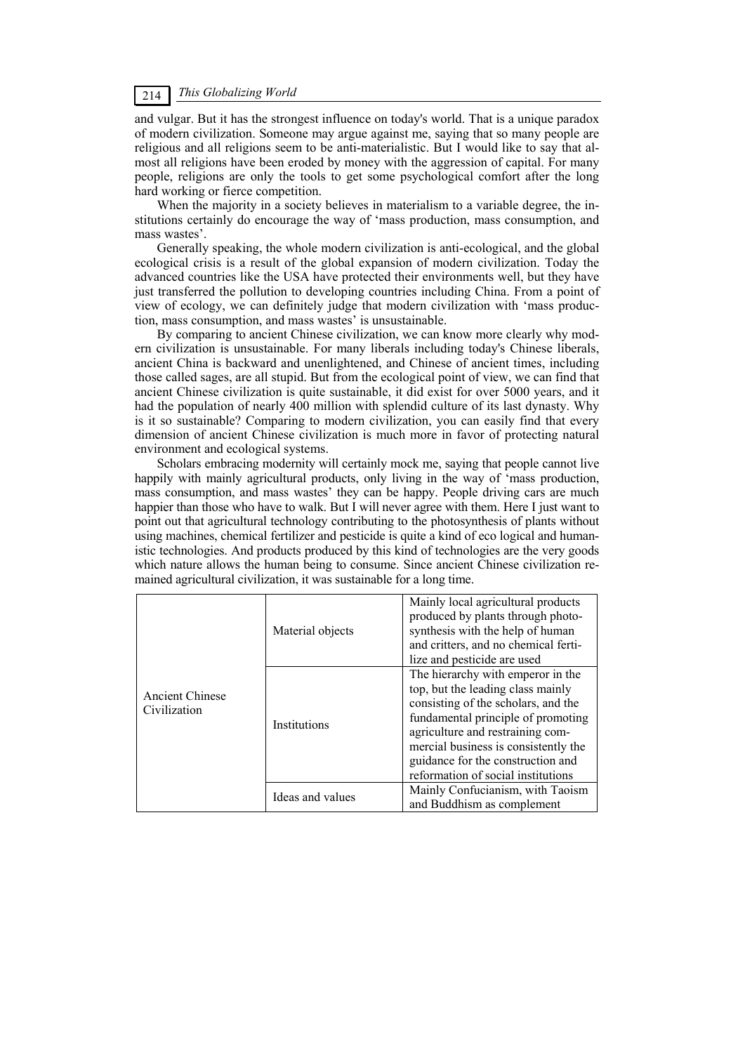### *This Globalizing World* 214

and vulgar. But it has the strongest influence оn today's world. That is a unique paradox of modern civilization. Someone may argue against me, saying that so many people are religious and all religions seem to be anti-materialistic. But I would like to say that almost all religions have been eroded by money with the aggression of capital. For many people, religions are only the tools to get some psychological comfort after the long hard working or fierce competition.

When the majority in a society believes in materialism to a variable degree, the institutions certainly do encourage the way of 'mass production, mass consumption, and mass wastes'.

Generally speaking, the whole modern civilization is anti-ecological, and the global ecological crisis is a result of the global expansion of modern civilization. Today the advanced countries like the USA have protected their environments well, but they have just transferred the pollution to developing countries including China. From a point of view of ecology, we can definitely judge that modern civilization with 'mass production, mass consumption, and mass wastes' is unsustainable.

By comparing to ancient Chinese civilization, we can know more clearly why modern civilization is unsustainable. For many liberals including today's Chinese liberals, ancient China is backward and unenlightened, and Chinese of ancient times, including those called sages, are all stupid. But from the ecological point of view, we can find that ancient Chinese civilization is quite sustainable, it did exist for over 5000 years, and it had the population of nearly 400 million with splendid culture of its last dynasty. Why is it so sustainable? Comparing to modern civilization, you can easily find that every dimension of ancient Chinese civilization is much more in favor of protecting natural environment and ecological systems.

Scholars embracing modernity will certainly mock me, saying that people cannot live happily with mainly agricultural products, only living in the way of 'mass production, mass consumption, and mass wastes' they can be happy. People driving cars are much happier than those who have to walk. But I will never agree with them. Here I just want to point out that agricultural technology contributing to the photosynthesis of plants without using machines, chemical fertilizer and pesticide is quite a kind of eco logical and humanistic technologies. And products produced by this kind of technologies are the very goods which nature allows the human being to consume. Since ancient Chinese civilization remained agricultural civilization, it was sustainable for a long time.

| <b>Ancient Chinese</b><br>Civilization | Material objects | Mainly local agricultural products<br>produced by plants through photo-<br>synthesis with the help of human<br>and critters, and no chemical ferti-<br>lize and pesticide are used                                                                                                                         |
|----------------------------------------|------------------|------------------------------------------------------------------------------------------------------------------------------------------------------------------------------------------------------------------------------------------------------------------------------------------------------------|
|                                        | Institutions     | The hierarchy with emperor in the<br>top, but the leading class mainly<br>consisting of the scholars, and the<br>fundamental principle of promoting<br>agriculture and restraining com-<br>mercial business is consistently the<br>guidance for the construction and<br>reformation of social institutions |
|                                        | Ideas and values | Mainly Confucianism, with Taoism<br>and Buddhism as complement                                                                                                                                                                                                                                             |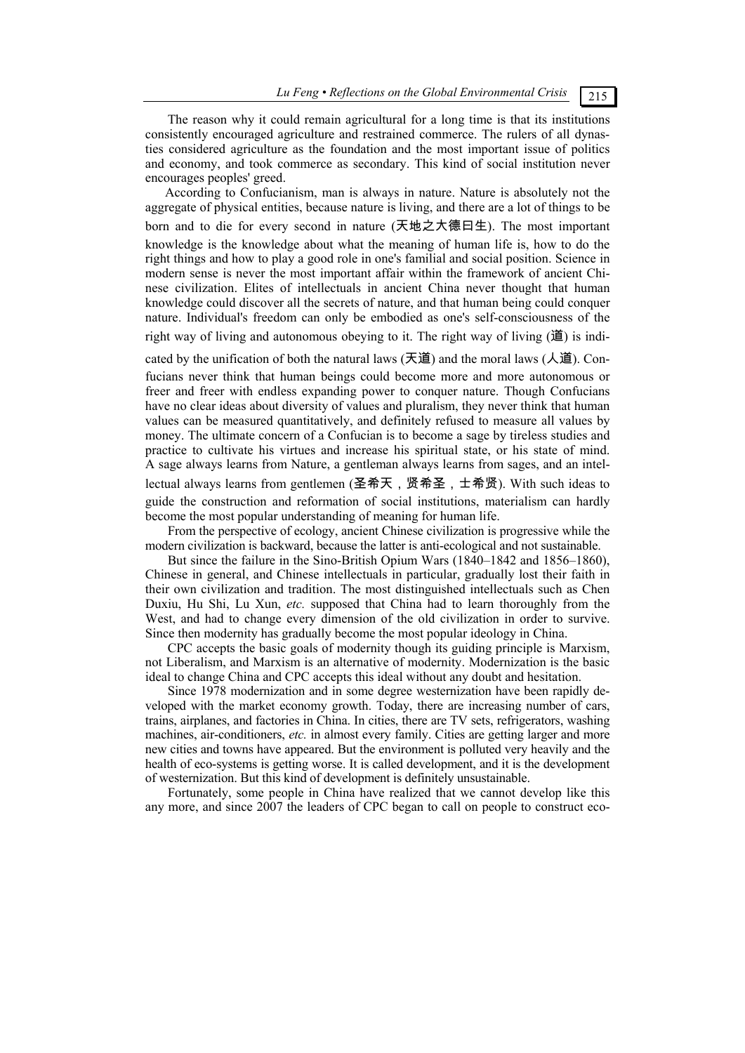*Lu Feng • Reflections on the Global Environmental Crisis* 215

#### The reason why it could remain agricultural for a long time is that its institutions consistently encouraged agriculture and restrained commerce. The rulers of all dynasties considered agriculture as the foundation and the most important issue of politics and economy, and took commerce as secondary. This kind of social institution never encourages peoples' greed.

According to Confucianism, man is always in nature. Nature is absolutely not the aggregate of physical entities, because nature is living, and there are a lot of things to be born and to die for every second in nature (天地之大德曰生). The most important knowledge is the knowledge about what the meaning of human life is, how to do the right things and how to play a good role in one's familial and social position. Science in modern sense is never the most important affair within the framework of ancient Chinese civilization. Elites of intellectuals in ancient China never thought that human knowledge could discover all the secrets of nature, and that human being could conquer nature. Individual's freedom can only be embodied as one's self-consciousness of the right way of living and autonomous obeying to it. The right way of living  $(\mathbf{H})$  is indi-

cated by the unification of both the natural laws (天道) and the moral laws ( $\lambda$ 道). Confucians never think that human beings could become more and more autonomous or freer and freer with endless expanding power to conquer nature. Though Confucians have no clear ideas about diversity of values and pluralism, they never think that human values can be measured quantitatively, and definitely refused to measure all values by money. The ultimate concern of a Confucian is to become a sage by tireless studies and practice to cultivate his virtues and increase his spiritual state, or his state of mind. A sage always learns from Nature, a gentleman always learns from sages, and an intellectual always learns from gentlemen (圣希天,贤希圣,士希贤). With such ideas to guide the construction and reformation of social institutions, materialism can hardly become the most popular understanding of meaning for human life.

From the perspective of ecology, ancient Chinese civilization is progressive while the modern civilization is backward, because the latter is anti-ecological and not sustainable.

But since the failure in the Sino-British Opium Wars (1840–1842 and 1856–1860), Chinese in general, and Chinese intellectuals in particular, gradually lost their faith in their own civilization and tradition. The most distinguished intellectuals such as Chen Duxiu, Hu Shi, Lu Xun, *etc.* supposed that China had to learn thoroughly from the West, and had to change every dimension of the old civilization in order to survive. Since then modernity has gradually become the most popular ideology in China.

CPC accepts the basic goals of modernity though its guiding principle is Marxism, not Liberalism, and Marxism is an alternative of modernity. Modernization is the basic ideal to change China and CPC accepts this ideal without any doubt and hesitation.

Since 1978 modernization and in some degree westernization have been rapidly developed with the market economy growth. Today, there are increasing number of cars, trains, airplanes, and factories in China. In cities, there are TV sets, refrigerators, washing machines, air-conditioners, *etc.* in almost every family. Cities are getting larger and more new cities and towns have appeared. But the environment is polluted very heavily and the health of eco-systems is getting worse. It is called development, and it is the development of westernization. But this kind of development is definitely unsustainable.

Fortunately, some people in China have realized that we cannot develop like this any more, and since 2007 the leaders of CPC began to call on people to construct eco-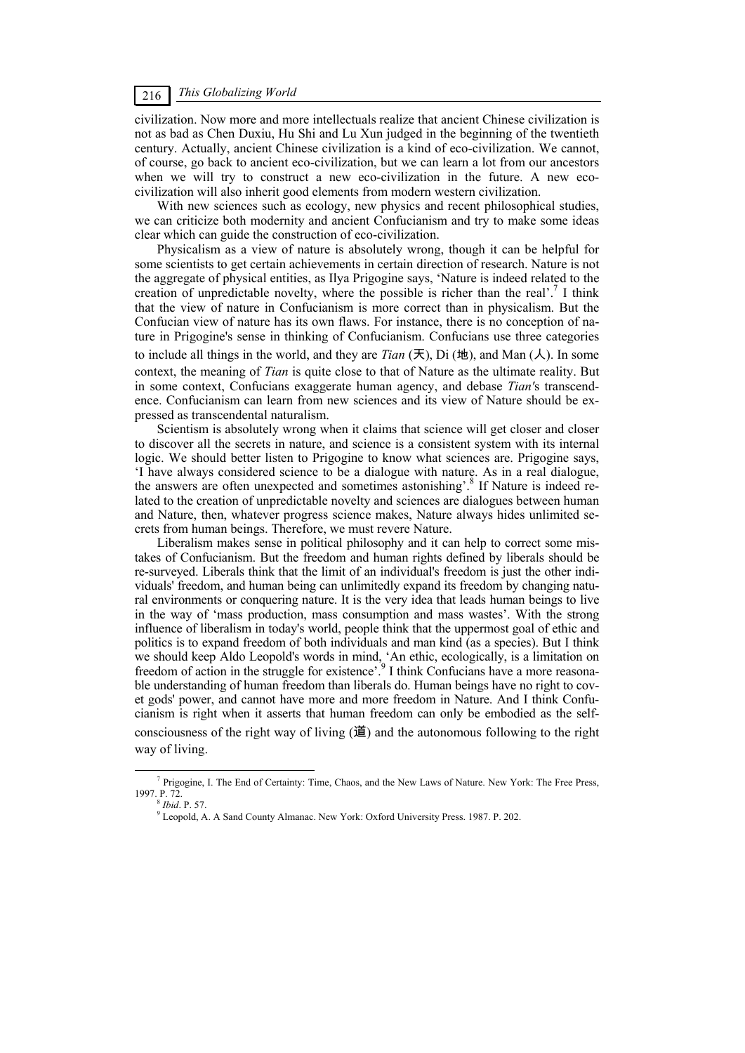### *This Globalizing World* 216

civilization. Now more and more intellectuals realize that ancient Chinese civilization is not as bad as Chen Duxiu, Hu Shi and Lu Xun judged in the beginning of the twentieth century. Actually, ancient Chinese civilization is a kind of eco-civilization. We cannot, of course, go back to ancient eco-civilization, but we can learn a lot from our ancestors when we will try to construct a new eco-civilization in the future. A new ecocivilization will also inherit good elements from modern western civilization.

With new sciences such as ecology, new physics and recent philosophical studies, we can criticize both modernity and ancient Confucianism and try to make some ideas clear which can guide the construction of eco-civilization.

Physicalism as a view of nature is absolutely wrong, though it can be helpful for some scientists to get certain achievements in certain direction of research. Nature is not the aggregate of physical entities, as Ilya Prigogine says, 'Nature is indeed related to the creation of unpredictable novelty, where the possible is richer than the real'.<sup>7</sup> I think that the view of nature in Confucianism is more correct than in physicalism. But the Confucian view of nature has its own flaws. For instance, there is no conception of nature in Prigogine's sense in thinking of Confucianism. Confucians use three categories to include all things in the world, and they are *Tian*  $(云)$ , Di  $($ 地), and Man  $(  
 $\lambda)$ . In some$ context, the meaning of *Tian* is quite close to that of Nature as the ultimate reality. But in some context, Confucians exaggerate human agency, and debase *Tian'*s transcendence. Confucianism can learn from new sciences and its view of Nature should be expressed as transcendental naturalism.

Scientism is absolutely wrong when it claims that science will get closer and closer to discover all the secrets in nature, and science is a consistent system with its internal logic. We should better listen to Prigogine to know what sciences are. Prigogine says, 'I have always considered science to be a dialogue with nature. As in a real dialogue, the answers are often unexpected and sometimes astonishing'.<sup>8</sup> If Nature is indeed related to the creation of unpredictable novelty and sciences are dialogues between human and Nature, then, whatever progress science makes, Nature always hides unlimited secrets from human beings. Therefore, we must revere Nature.

Liberalism makes sense in political philosophy and it can help to correct some mistakes of Confucianism. But the freedom and human rights defined by liberals should be re-surveyed. Liberals think that the limit of an individual's freedom is just the other individuals' freedom, and human being can unlimitedly expand its freedom by changing natural environments or conquering nature. It is the very idea that leads human beings to live in the way of 'mass production, mass consumption and mass wastes'. With the strong influence of liberalism in today's world, people think that the uppermost goal of ethic and politics is to expand freedom of both individuals and man kind (as a species). But I think we should keep Aldo Leopold's words in mind, 'An ethic, ecologically, is a limitation on freedom of action in the struggle for existence'.<sup>9</sup> I think Confucians have a more reasonable understanding of human freedom than liberals do. Human beings have no right to covet gods' power, and cannot have more and more freedom in Nature. And I think Confucianism is right when it asserts that human freedom can only be embodied as the selfconsciousness of the right way of living  $(\ddot{\mathbf{\Xi}})$  and the autonomous following to the right way of living.

 $\frac{1}{7}$ Prigogine, I. The End of Certainty: Time, Chaos, and the New Laws of Nature. New York: The Free Press,

 $8$ *Ibid* P. 57.

Leopold, A. A Sand County Almanac. New York: Oxford University Press. 1987. P. 202.